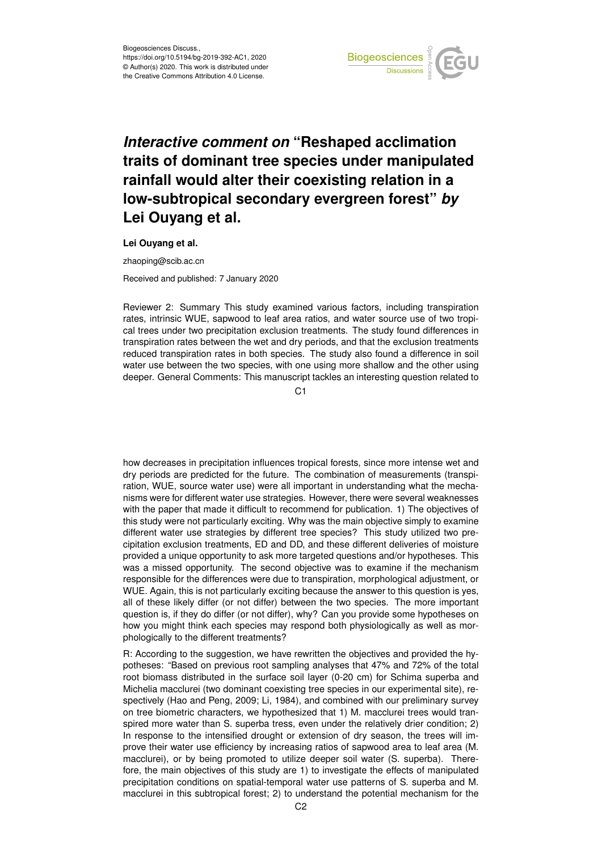

## *Interactive comment on* **"Reshaped acclimation traits of dominant tree species under manipulated rainfall would alter their coexisting relation in a low-subtropical secondary evergreen forest"** *by* **Lei Ouyang et al.**

**Lei Ouyang et al.**

zhaoping@scib.ac.cn

Received and published: 7 January 2020

Reviewer 2: Summary This study examined various factors, including transpiration rates, intrinsic WUE, sapwood to leaf area ratios, and water source use of two tropical trees under two precipitation exclusion treatments. The study found differences in transpiration rates between the wet and dry periods, and that the exclusion treatments reduced transpiration rates in both species. The study also found a difference in soil water use between the two species, with one using more shallow and the other using deeper. General Comments: This manuscript tackles an interesting question related to

 $C<sub>1</sub>$ 

how decreases in precipitation influences tropical forests, since more intense wet and dry periods are predicted for the future. The combination of measurements (transpiration, WUE, source water use) were all important in understanding what the mechanisms were for different water use strategies. However, there were several weaknesses with the paper that made it difficult to recommend for publication. 1) The objectives of this study were not particularly exciting. Why was the main objective simply to examine different water use strategies by different tree species? This study utilized two precipitation exclusion treatments, ED and DD, and these different deliveries of moisture provided a unique opportunity to ask more targeted questions and/or hypotheses. This was a missed opportunity. The second objective was to examine if the mechanism responsible for the differences were due to transpiration, morphological adjustment, or WUE. Again, this is not particularly exciting because the answer to this question is yes, all of these likely differ (or not differ) between the two species. The more important question is, if they do differ (or not differ), why? Can you provide some hypotheses on how you might think each species may respond both physiologically as well as morphologically to the different treatments?

R: According to the suggestion, we have rewritten the objectives and provided the hypotheses: "Based on previous root sampling analyses that 47% and 72% of the total root biomass distributed in the surface soil layer (0-20 cm) for Schima superba and Michelia macclurei (two dominant coexisting tree species in our experimental site), respectively (Hao and Peng, 2009; Li, 1984), and combined with our preliminary survey on tree biometric characters, we hypothesized that 1) M. macclurei trees would transpired more water than S. superba tress, even under the relatively drier condition; 2) In response to the intensified drought or extension of dry season, the trees will improve their water use efficiency by increasing ratios of sapwood area to leaf area (M. macclurei), or by being promoted to utilize deeper soil water (S. superba). Therefore, the main objectives of this study are 1) to investigate the effects of manipulated precipitation conditions on spatial-temporal water use patterns of S. superba and M. macclurei in this subtropical forest; 2) to understand the potential mechanism for the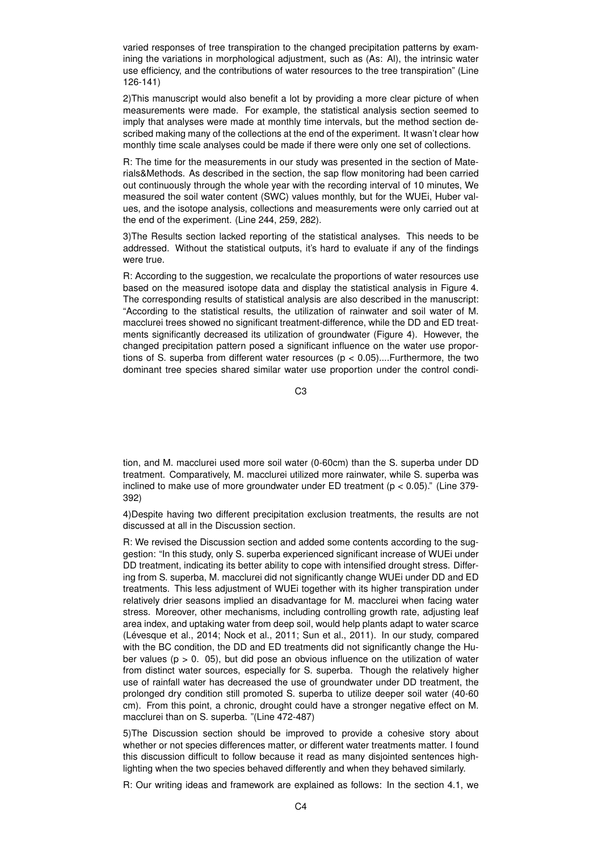varied responses of tree transpiration to the changed precipitation patterns by examining the variations in morphological adjustment, such as (As: Al), the intrinsic water use efficiency, and the contributions of water resources to the tree transpiration" (Line 126-141)

2)This manuscript would also benefit a lot by providing a more clear picture of when measurements were made. For example, the statistical analysis section seemed to imply that analyses were made at monthly time intervals, but the method section described making many of the collections at the end of the experiment. It wasn't clear how monthly time scale analyses could be made if there were only one set of collections.

R: The time for the measurements in our study was presented in the section of Materials&Methods. As described in the section, the sap flow monitoring had been carried out continuously through the whole year with the recording interval of 10 minutes, We measured the soil water content (SWC) values monthly, but for the WUEi, Huber values, and the isotope analysis, collections and measurements were only carried out at the end of the experiment. (Line 244, 259, 282).

3)The Results section lacked reporting of the statistical analyses. This needs to be addressed. Without the statistical outputs, it's hard to evaluate if any of the findings were true.

R: According to the suggestion, we recalculate the proportions of water resources use based on the measured isotope data and display the statistical analysis in Figure 4. The corresponding results of statistical analysis are also described in the manuscript: "According to the statistical results, the utilization of rainwater and soil water of M. macclurei trees showed no significant treatment-difference, while the DD and ED treatments significantly decreased its utilization of groundwater (Figure 4). However, the changed precipitation pattern posed a significant influence on the water use proportions of S. superba from different water resources ( $p < 0.05$ )....Furthermore, the two dominant tree species shared similar water use proportion under the control condi-

C3

tion, and M. macclurei used more soil water (0-60cm) than the S. superba under DD treatment. Comparatively, M. macclurei utilized more rainwater, while S. superba was inclined to make use of more groundwater under ED treatment ( $p < 0.05$ )." (Line 379-392)

4)Despite having two different precipitation exclusion treatments, the results are not discussed at all in the Discussion section.

R: We revised the Discussion section and added some contents according to the suggestion: "In this study, only S. superba experienced significant increase of WUEi under DD treatment, indicating its better ability to cope with intensified drought stress. Differing from S. superba, M. macclurei did not significantly change WUEi under DD and ED treatments. This less adjustment of WUEi together with its higher transpiration under relatively drier seasons implied an disadvantage for M. macclurei when facing water stress. Moreover, other mechanisms, including controlling growth rate, adjusting leaf area index, and uptaking water from deep soil, would help plants adapt to water scarce (Lévesque et al., 2014; Nock et al., 2011; Sun et al., 2011). In our study, compared with the BC condition, the DD and ED treatments did not significantly change the Huber values ( $p > 0$ . 05), but did pose an obvious influence on the utilization of water from distinct water sources, especially for S. superba. Though the relatively higher use of rainfall water has decreased the use of groundwater under DD treatment, the prolonged dry condition still promoted S. superba to utilize deeper soil water (40-60 cm). From this point, a chronic, drought could have a stronger negative effect on M. macclurei than on S. superba. "(Line 472-487)

5)The Discussion section should be improved to provide a cohesive story about whether or not species differences matter, or different water treatments matter. I found this discussion difficult to follow because it read as many disjointed sentences highlighting when the two species behaved differently and when they behaved similarly.

R: Our writing ideas and framework are explained as follows: In the section 4.1, we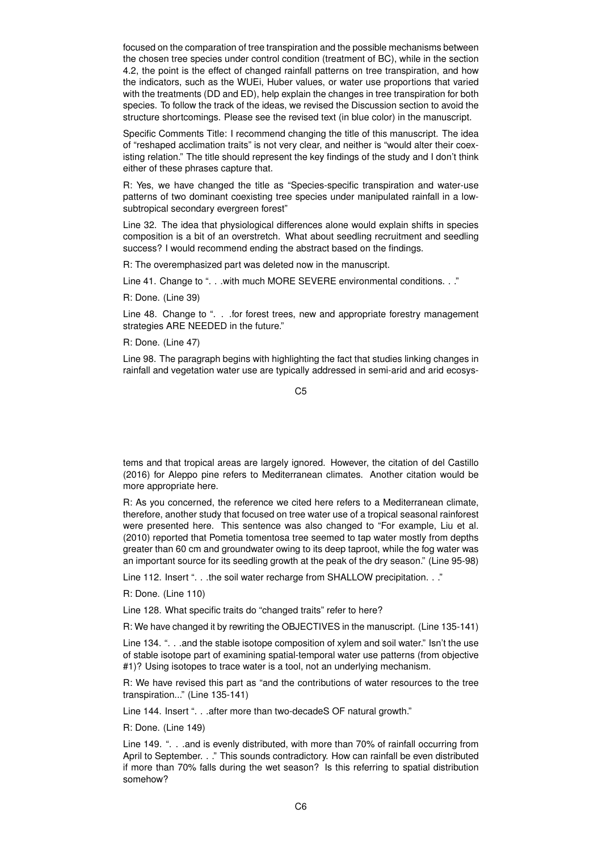focused on the comparation of tree transpiration and the possible mechanisms between the chosen tree species under control condition (treatment of BC), while in the section 4.2, the point is the effect of changed rainfall patterns on tree transpiration, and how the indicators, such as the WUEi, Huber values, or water use proportions that varied with the treatments (DD and ED), help explain the changes in tree transpiration for both species. To follow the track of the ideas, we revised the Discussion section to avoid the structure shortcomings. Please see the revised text (in blue color) in the manuscript.

Specific Comments Title: I recommend changing the title of this manuscript. The idea of "reshaped acclimation traits" is not very clear, and neither is "would alter their coexisting relation." The title should represent the key findings of the study and I don't think either of these phrases capture that.

R: Yes, we have changed the title as "Species-specific transpiration and water-use patterns of two dominant coexisting tree species under manipulated rainfall in a lowsubtropical secondary evergreen forest"

Line 32. The idea that physiological differences alone would explain shifts in species composition is a bit of an overstretch. What about seedling recruitment and seedling success? I would recommend ending the abstract based on the findings.

R: The overemphasized part was deleted now in the manuscript.

Line 41. Change to ". . . with much MORE SEVERE environmental conditions. . ."

R: Done. (Line 39)

Line 48. Change to ". . . for forest trees, new and appropriate forestry management strategies ARE NEEDED in the future."

R: Done. (Line 47)

Line 98. The paragraph begins with highlighting the fact that studies linking changes in rainfall and vegetation water use are typically addressed in semi-arid and arid ecosys-

 $C<sub>5</sub>$ 

tems and that tropical areas are largely ignored. However, the citation of del Castillo (2016) for Aleppo pine refers to Mediterranean climates. Another citation would be more appropriate here.

R: As you concerned, the reference we cited here refers to a Mediterranean climate, therefore, another study that focused on tree water use of a tropical seasonal rainforest were presented here. This sentence was also changed to "For example, Liu et al. (2010) reported that Pometia tomentosa tree seemed to tap water mostly from depths greater than 60 cm and groundwater owing to its deep taproot, while the fog water was an important source for its seedling growth at the peak of the dry season." (Line 95-98)

Line 112. Insert ". . .the soil water recharge from SHALLOW precipitation. . ."

R: Done. (Line 110)

Line 128. What specific traits do "changed traits" refer to here?

R: We have changed it by rewriting the OBJECTIVES in the manuscript. (Line 135-141)

Line 134. ". . .and the stable isotope composition of xylem and soil water." Isn't the use of stable isotope part of examining spatial-temporal water use patterns (from objective #1)? Using isotopes to trace water is a tool, not an underlying mechanism.

R: We have revised this part as "and the contributions of water resources to the tree transpiration..." (Line 135-141)

Line 144. Insert ". . . after more than two-decadeS OF natural growth."

R: Done. (Line 149)

Line 149. ". . .and is evenly distributed, with more than 70% of rainfall occurring from April to September. . ." This sounds contradictory. How can rainfall be even distributed if more than 70% falls during the wet season? Is this referring to spatial distribution somehow?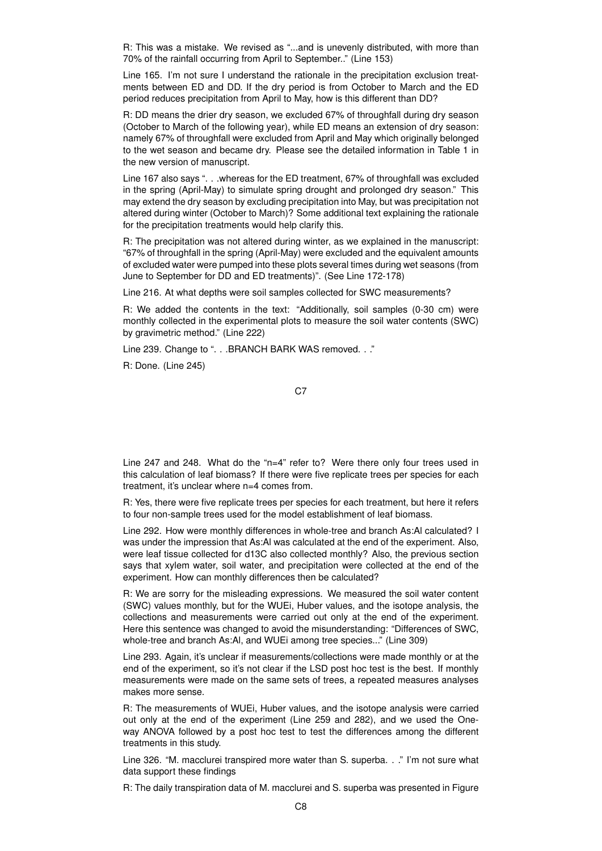R: This was a mistake. We revised as "...and is unevenly distributed, with more than 70% of the rainfall occurring from April to September.." (Line 153)

Line 165. I'm not sure I understand the rationale in the precipitation exclusion treatments between ED and DD. If the dry period is from October to March and the ED period reduces precipitation from April to May, how is this different than DD?

R: DD means the drier dry season, we excluded 67% of throughfall during dry season (October to March of the following year), while ED means an extension of dry season: namely 67% of throughfall were excluded from April and May which originally belonged to the wet season and became dry. Please see the detailed information in Table 1 in the new version of manuscript.

Line 167 also says ". . .whereas for the ED treatment, 67% of throughfall was excluded in the spring (April-May) to simulate spring drought and prolonged dry season." This may extend the dry season by excluding precipitation into May, but was precipitation not altered during winter (October to March)? Some additional text explaining the rationale for the precipitation treatments would help clarify this.

R: The precipitation was not altered during winter, as we explained in the manuscript: "67% of throughfall in the spring (April-May) were excluded and the equivalent amounts of excluded water were pumped into these plots several times during wet seasons (from June to September for DD and ED treatments)". (See Line 172-178)

Line 216. At what depths were soil samples collected for SWC measurements?

R: We added the contents in the text: "Additionally, soil samples (0-30 cm) were monthly collected in the experimental plots to measure the soil water contents (SWC) by gravimetric method." (Line 222)

Line 239. Change to ". . .BRANCH BARK WAS removed. . ."

R: Done. (Line 245)

C<sub>7</sub>

Line 247 and 248. What do the "n=4" refer to? Were there only four trees used in this calculation of leaf biomass? If there were five replicate trees per species for each treatment, it's unclear where n=4 comes from.

R: Yes, there were five replicate trees per species for each treatment, but here it refers to four non-sample trees used for the model establishment of leaf biomass.

Line 292. How were monthly differences in whole-tree and branch As:Al calculated? I was under the impression that As:Al was calculated at the end of the experiment. Also, were leaf tissue collected for d13C also collected monthly? Also, the previous section says that xylem water, soil water, and precipitation were collected at the end of the experiment. How can monthly differences then be calculated?

R: We are sorry for the misleading expressions. We measured the soil water content (SWC) values monthly, but for the WUEi, Huber values, and the isotope analysis, the collections and measurements were carried out only at the end of the experiment. Here this sentence was changed to avoid the misunderstanding: "Differences of SWC, whole-tree and branch As:Al, and WUEi among tree species..." (Line 309)

Line 293. Again, it's unclear if measurements/collections were made monthly or at the end of the experiment, so it's not clear if the LSD post hoc test is the best. If monthly measurements were made on the same sets of trees, a repeated measures analyses makes more sense.

R: The measurements of WUEi, Huber values, and the isotope analysis were carried out only at the end of the experiment (Line 259 and 282), and we used the Oneway ANOVA followed by a post hoc test to test the differences among the different treatments in this study.

Line 326. "M. macclurei transpired more water than S. superba. . ." I'm not sure what data support these findings

R: The daily transpiration data of M. macclurei and S. superba was presented in Figure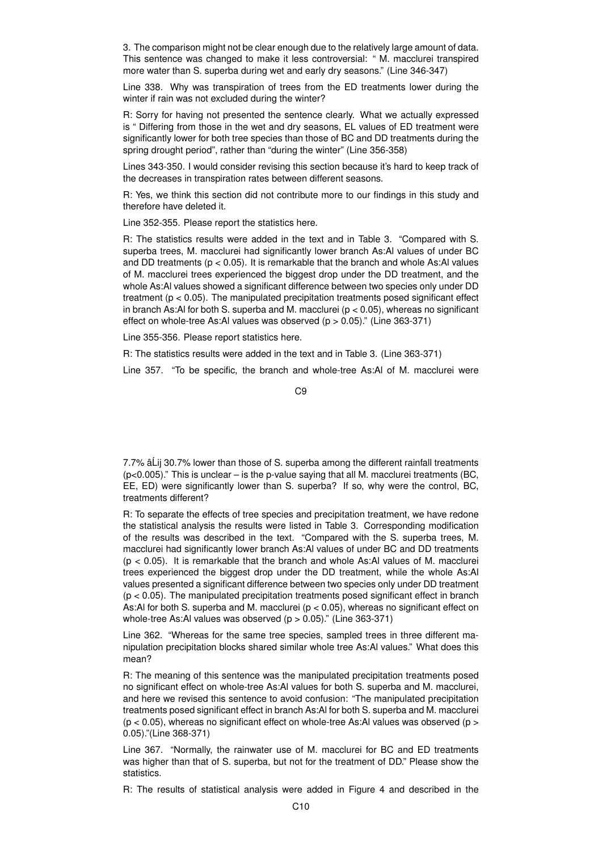3. The comparison might not be clear enough due to the relatively large amount of data. This sentence was changed to make it less controversial: " M. macclurei transpired more water than S. superba during wet and early dry seasons." (Line 346-347)

Line 338. Why was transpiration of trees from the ED treatments lower during the winter if rain was not excluded during the winter?

R: Sorry for having not presented the sentence clearly. What we actually expressed is " Differing from those in the wet and dry seasons, EL values of ED treatment were significantly lower for both tree species than those of BC and DD treatments during the spring drought period", rather than "during the winter" (Line 356-358)

Lines 343-350. I would consider revising this section because it's hard to keep track of the decreases in transpiration rates between different seasons.

R: Yes, we think this section did not contribute more to our findings in this study and therefore have deleted it.

Line 352-355. Please report the statistics here.

R: The statistics results were added in the text and in Table 3. "Compared with S. superba trees, M. macclurei had significantly lower branch As:Al values of under BC and DD treatments ( $p < 0.05$ ). It is remarkable that the branch and whole As:Al values of M. macclurei trees experienced the biggest drop under the DD treatment, and the whole As:Al values showed a significant difference between two species only under DD treatment (p < 0.05). The manipulated precipitation treatments posed significant effect in branch As:Al for both S. superba and M. macclurei ( $p < 0.05$ ), whereas no significant effect on whole-tree As:Al values was observed  $(p > 0.05)$ ." (Line 363-371)

Line 355-356. Please report statistics here.

R: The statistics results were added in the text and in Table 3. (Line 363-371)

Line 357. "To be specific, the branch and whole-tree As:Al of M. macclurei were

7.7% â Lij 30.7% lower than those of S. superba among the different rainfall treatments  $(p<0.005)$ ." This is unclear – is the p-value saying that all M. macclurei treatments (BC, EE, ED) were significantly lower than S. superba? If so, why were the control, BC, treatments different?

R: To separate the effects of tree species and precipitation treatment, we have redone the statistical analysis the results were listed in Table 3. Corresponding modification of the results was described in the text. "Compared with the S. superba trees, M. macclurei had significantly lower branch As:Al values of under BC and DD treatments  $(p < 0.05)$ . It is remarkable that the branch and whole As:Al values of M. macclurei trees experienced the biggest drop under the DD treatment, while the whole As:Al values presented a significant difference between two species only under DD treatment  $(p < 0.05)$ . The manipulated precipitation treatments posed significant effect in branch As:Al for both S. superba and M. macclurei ( $p < 0.05$ ), whereas no significant effect on whole-tree As:Al values was observed  $(p > 0.05)$ ." (Line 363-371)

Line 362. "Whereas for the same tree species, sampled trees in three different manipulation precipitation blocks shared similar whole tree As:Al values." What does this mean?

R: The meaning of this sentence was the manipulated precipitation treatments posed no significant effect on whole-tree As:Al values for both S. superba and M. macclurei, and here we revised this sentence to avoid confusion: "The manipulated precipitation treatments posed significant effect in branch As:Al for both S. superba and M. macclurei  $(p < 0.05)$ , whereas no significant effect on whole-tree As:Al values was observed ( $p > 0$ 0.05)."(Line 368-371)

Line 367. "Normally, the rainwater use of M. macclurei for BC and ED treatments was higher than that of S. superba, but not for the treatment of DD." Please show the statistics.

R: The results of statistical analysis were added in Figure 4 and described in the

C9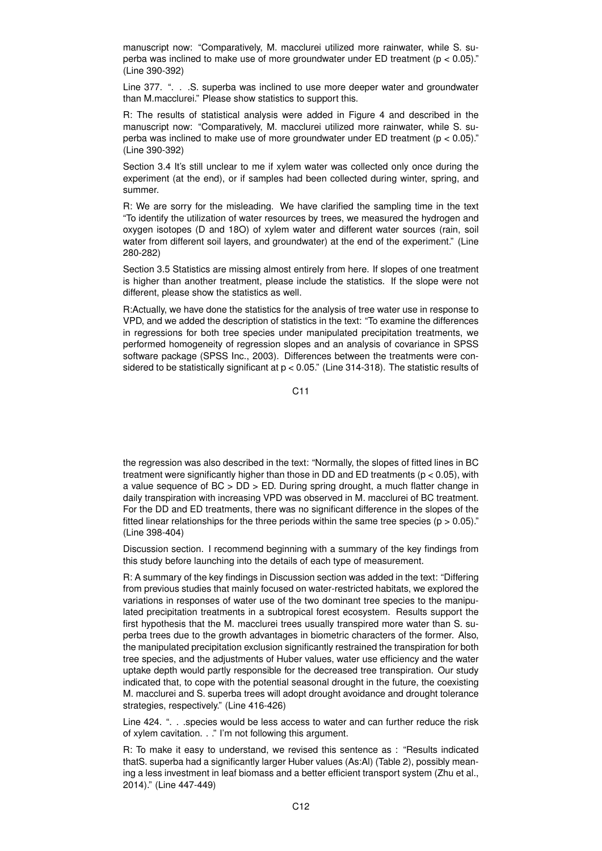manuscript now: "Comparatively, M. macclurei utilized more rainwater, while S. superba was inclined to make use of more groundwater under ED treatment ( $p < 0.05$ )." (Line 390-392)

Line 377. ". . . S. superba was inclined to use more deeper water and groundwater than M.macclurei." Please show statistics to support this.

R: The results of statistical analysis were added in Figure 4 and described in the manuscript now: "Comparatively, M. macclurei utilized more rainwater, while S. superba was inclined to make use of more groundwater under ED treatment ( $p < 0.05$ )." (Line 390-392)

Section 3.4 It's still unclear to me if xylem water was collected only once during the experiment (at the end), or if samples had been collected during winter, spring, and summer.

R: We are sorry for the misleading. We have clarified the sampling time in the text "To identify the utilization of water resources by trees, we measured the hydrogen and oxygen isotopes (D and 18O) of xylem water and different water sources (rain, soil water from different soil layers, and groundwater) at the end of the experiment." (Line 280-282)

Section 3.5 Statistics are missing almost entirely from here. If slopes of one treatment is higher than another treatment, please include the statistics. If the slope were not different, please show the statistics as well.

R:Actually, we have done the statistics for the analysis of tree water use in response to VPD, and we added the description of statistics in the text: "To examine the differences in regressions for both tree species under manipulated precipitation treatments, we performed homogeneity of regression slopes and an analysis of covariance in SPSS software package (SPSS Inc., 2003). Differences between the treatments were considered to be statistically significant at p < 0.05." (Line 314-318). The statistic results of

C11

the regression was also described in the text: "Normally, the slopes of fitted lines in BC treatment were significantly higher than those in DD and ED treatments ( $p < 0.05$ ), with a value sequence of BC > DD > ED. During spring drought, a much flatter change in daily transpiration with increasing VPD was observed in M. macclurei of BC treatment. For the DD and ED treatments, there was no significant difference in the slopes of the fitted linear relationships for the three periods within the same tree species ( $p > 0.05$ )." (Line 398-404)

Discussion section. I recommend beginning with a summary of the key findings from this study before launching into the details of each type of measurement.

R: A summary of the key findings in Discussion section was added in the text: "Differing from previous studies that mainly focused on water-restricted habitats, we explored the variations in responses of water use of the two dominant tree species to the manipulated precipitation treatments in a subtropical forest ecosystem. Results support the first hypothesis that the M. macclurei trees usually transpired more water than S. superba trees due to the growth advantages in biometric characters of the former. Also, the manipulated precipitation exclusion significantly restrained the transpiration for both tree species, and the adjustments of Huber values, water use efficiency and the water uptake depth would partly responsible for the decreased tree transpiration. Our study indicated that, to cope with the potential seasonal drought in the future, the coexisting M. macclurei and S. superba trees will adopt drought avoidance and drought tolerance strategies, respectively." (Line 416-426)

Line 424. ". . .species would be less access to water and can further reduce the risk of xylem cavitation. . ." I'm not following this argument.

R: To make it easy to understand, we revised this sentence as : "Results indicated thatS. superba had a significantly larger Huber values (As:Al) (Table 2), possibly meaning a less investment in leaf biomass and a better efficient transport system (Zhu et al., 2014)." (Line 447-449)